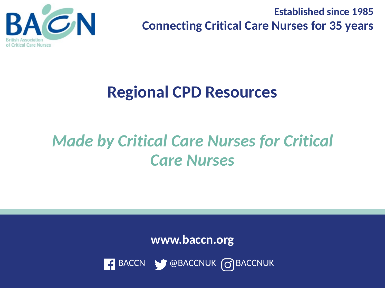

**Established since 1985 Connecting Critical Care Nurses for 35 years** 

## **Regional CPD Resources**

## *Made by Critical Care Nurses for Critical Care Nurses*

**www.baccn.org**

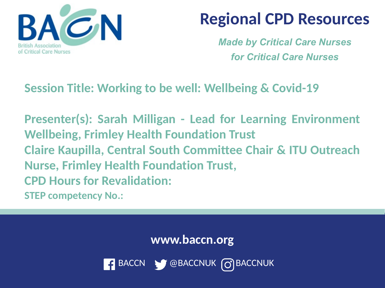

*Made by Critical Care Nurses for Critical Care Nurses*

#### **Session Title: Working to be well: Wellbeing & Covid-19**

**Presenter(s): Sarah Milligan - Lead for Learning Environment Wellbeing, Frimley Health Foundation Trust Claire Kaupilla, Central South Committee Chair & ITU Outreach Nurse, Frimley Health Foundation Trust, CPD Hours for Revalidation: STEP competency No.:** 

**www.baccn.org**

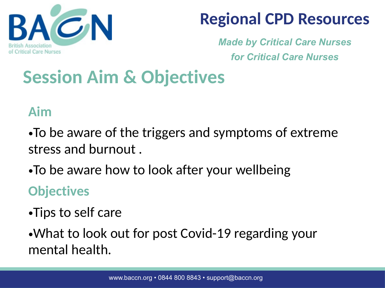

*Made by Critical Care Nurses for Critical Care Nurses*

# **Session Aim & Objectives**

#### **Aim**

- •To be aware of the triggers and symptoms of extreme stress and burnout .
- •To be aware how to look after your wellbeing

#### **Objectives**

- •Tips to self care
- •What to look out for post Covid-19 regarding your mental health.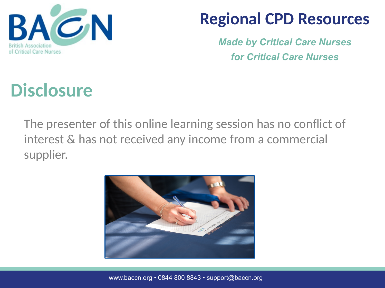

*Made by Critical Care Nurses for Critical Care Nurses*

# **Disclosure**

The presenter of this online learning session has no conflict of interest & has not received any income from a commercial supplier.



www.baccn.org • 0844 800 8843 • support@baccn.org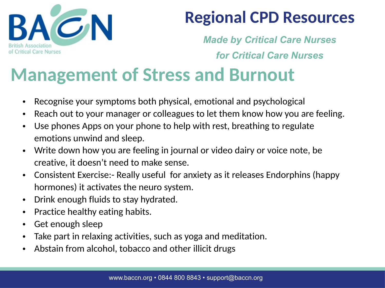

*Made by Critical Care Nurses for Critical Care Nurses*

## **Management of Stress and Burnout**

- Recognise your symptoms both physical, emotional and psychological
- Reach out to your manager or colleagues to let them know how you are feeling.
- Use phones Apps on your phone to help with rest, breathing to regulate emotions unwind and sleep.
- Write down how you are feeling in journal or video dairy or voice note, be creative, it doesn't need to make sense.
- Consistent Exercise:- Really useful for anxiety as it releases Endorphins (happy hormones) it activates the neuro system.
- Drink enough fluids to stay hydrated.
- Practice healthy eating habits.
- Get enough sleep
- Take part in relaxing activities, such as yoga and meditation.
- Abstain from alcohol, tobacco and other illicit drugs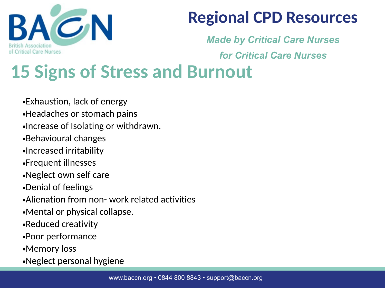

*Made by Critical Care Nurses* 

*for Critical Care Nurses*

# **15 Signs of Stress and Burnout**

•Exhaustion, lack of energy

- •Headaches or stomach pains
- •Increase of Isolating or withdrawn.
- •Behavioural changes
- •Increased irritability
- •Frequent illnesses
- •Neglect own self care
- •Denial of feelings
- •Alienation from non- work related activities
- •Mental or physical collapse.
- •Reduced creativity
- •Poor performance
- •Memory loss
- •Neglect personal hygiene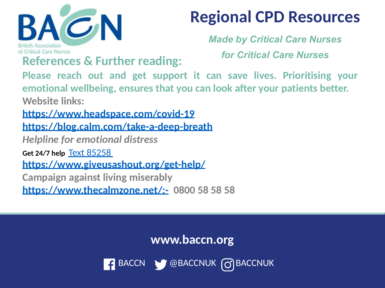

*Made by Critical Care Nurses for Critical Care Nurses*

**References & Further reading:** 

**Please reach out and get support it can save lives. Prioritising your emotional wellbeing, ensures that you can look after your patients better. Website links:** 

**<https://www.headspace.com/covid-19> <https://blog.calm.com/take-a-deep-breath>**

*Helpline for emotional distress* 

**Get 24/7 help** [Text 85258](sms:85258) 

**<https://www.giveusashout.org/get-help/>**

**Campaign against living miserably** 

**<https://www.thecalmzone.net/:-> 0800 58 58 58** 

**www.baccn.org**

BACCN & @BACCNUK 0 BACCNUK